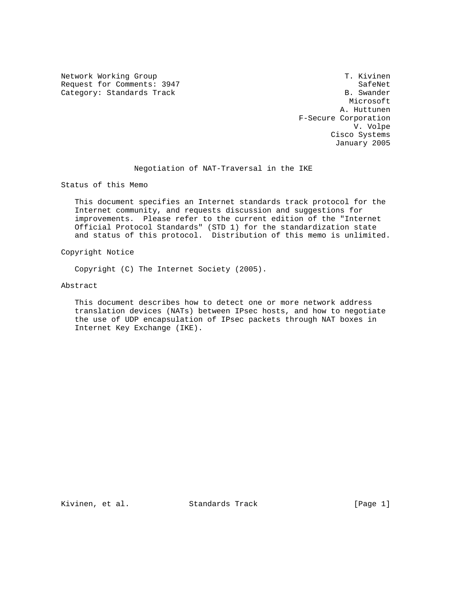Network Working Group T. Kivinen Request for Comments: 3947 SafeNet<br>
Category: Standards Track Summer Standards Summer Standards Standards Summer Standards Summer Standards Summer Category: Standards Track

 Microsoft A. Huttunen F-Secure Corporation V. Volpe Cisco Systems January 2005

Negotiation of NAT-Traversal in the IKE

Status of this Memo

 This document specifies an Internet standards track protocol for the Internet community, and requests discussion and suggestions for improvements. Please refer to the current edition of the "Internet Official Protocol Standards" (STD 1) for the standardization state and status of this protocol. Distribution of this memo is unlimited.

Copyright Notice

Copyright (C) The Internet Society (2005).

Abstract

 This document describes how to detect one or more network address translation devices (NATs) between IPsec hosts, and how to negotiate the use of UDP encapsulation of IPsec packets through NAT boxes in Internet Key Exchange (IKE).

Kivinen, et al. Standards Track [Page 1]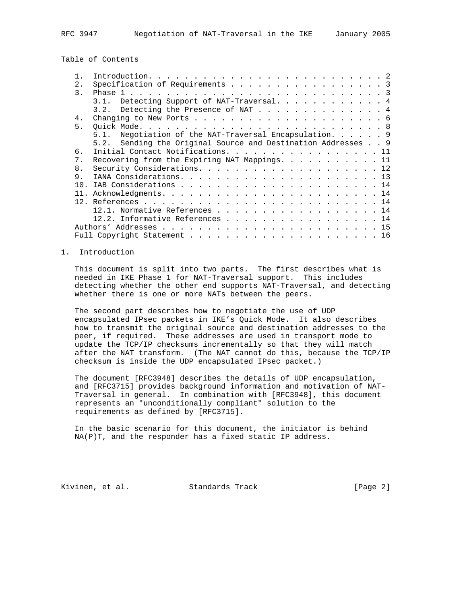Table of Contents

| $1$ .         |                                                              |  |
|---------------|--------------------------------------------------------------|--|
| 2.            | Specification of Requirements 3                              |  |
| $\mathcal{E}$ |                                                              |  |
|               | 3.1. Detecting Support of NAT-Traversal. 4                   |  |
|               | 3.2. Detecting the Presence of NAT 4                         |  |
| 4.            |                                                              |  |
| 5.            |                                                              |  |
|               | 5.1. Negotiation of the NAT-Traversal Encapsulation. 9       |  |
|               | 5.2. Sending the Original Source and Destination Addresses 9 |  |
| б.            | Initial Contact Notifications. 11                            |  |
| 7.            | Recovering from the Expiring NAT Mappings. 11                |  |
|               |                                                              |  |
| 8.            |                                                              |  |
| 9.            |                                                              |  |
| 1 N           |                                                              |  |
|               |                                                              |  |
|               |                                                              |  |
|               | 12.1. Normative References 14                                |  |
|               | 12.2. Informative References 14                              |  |
|               |                                                              |  |
|               |                                                              |  |
|               |                                                              |  |

# 1. Introduction

 This document is split into two parts. The first describes what is needed in IKE Phase 1 for NAT-Traversal support. This includes detecting whether the other end supports NAT-Traversal, and detecting whether there is one or more NATs between the peers.

 The second part describes how to negotiate the use of UDP encapsulated IPsec packets in IKE's Quick Mode. It also describes how to transmit the original source and destination addresses to the peer, if required. These addresses are used in transport mode to update the TCP/IP checksums incrementally so that they will match after the NAT transform. (The NAT cannot do this, because the TCP/IP checksum is inside the UDP encapsulated IPsec packet.)

 The document [RFC3948] describes the details of UDP encapsulation, and [RFC3715] provides background information and motivation of NAT- Traversal in general. In combination with [RFC3948], this document represents an "unconditionally compliant" solution to the requirements as defined by [RFC3715].

 In the basic scenario for this document, the initiator is behind NA(P)T, and the responder has a fixed static IP address.

Kivinen, et al. Standards Track [Page 2]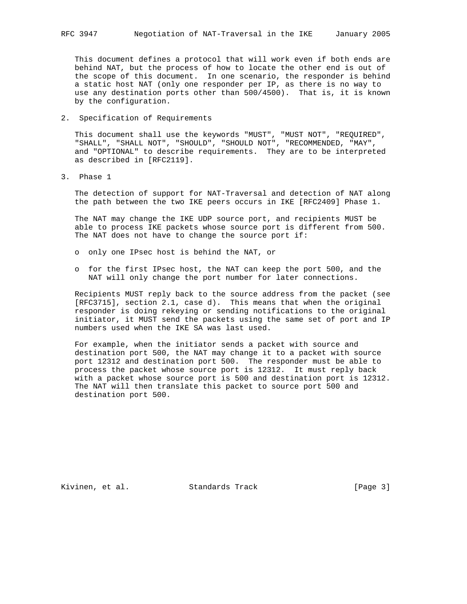This document defines a protocol that will work even if both ends are behind NAT, but the process of how to locate the other end is out of the scope of this document. In one scenario, the responder is behind a static host NAT (only one responder per IP, as there is no way to use any destination ports other than 500/4500). That is, it is known

2. Specification of Requirements

by the configuration.

 This document shall use the keywords "MUST", "MUST NOT", "REQUIRED", "SHALL", "SHALL NOT", "SHOULD", "SHOULD NOT", "RECOMMENDED, "MAY", and "OPTIONAL" to describe requirements. They are to be interpreted as described in [RFC2119].

3. Phase 1

 The detection of support for NAT-Traversal and detection of NAT along the path between the two IKE peers occurs in IKE [RFC2409] Phase 1.

 The NAT may change the IKE UDP source port, and recipients MUST be able to process IKE packets whose source port is different from 500. The NAT does not have to change the source port if:

- o only one IPsec host is behind the NAT, or
- o for the first IPsec host, the NAT can keep the port 500, and the NAT will only change the port number for later connections.

 Recipients MUST reply back to the source address from the packet (see [RFC3715], section 2.1, case d). This means that when the original responder is doing rekeying or sending notifications to the original initiator, it MUST send the packets using the same set of port and IP numbers used when the IKE SA was last used.

 For example, when the initiator sends a packet with source and destination port 500, the NAT may change it to a packet with source port 12312 and destination port 500. The responder must be able to process the packet whose source port is 12312. It must reply back with a packet whose source port is 500 and destination port is 12312. The NAT will then translate this packet to source port 500 and destination port 500.

Kivinen, et al. Standards Track [Page 3]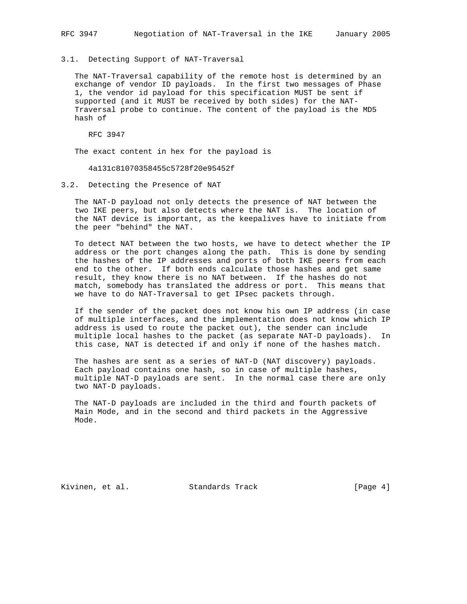3.1. Detecting Support of NAT-Traversal

 The NAT-Traversal capability of the remote host is determined by an exchange of vendor ID payloads. In the first two messages of Phase 1, the vendor id payload for this specification MUST be sent if supported (and it MUST be received by both sides) for the NAT- Traversal probe to continue. The content of the payload is the MD5 hash of

RFC 3947

The exact content in hex for the payload is

4a131c81070358455c5728f20e95452f

# 3.2. Detecting the Presence of NAT

 The NAT-D payload not only detects the presence of NAT between the two IKE peers, but also detects where the NAT is. The location of the NAT device is important, as the keepalives have to initiate from the peer "behind" the NAT.

 To detect NAT between the two hosts, we have to detect whether the IP address or the port changes along the path. This is done by sending the hashes of the IP addresses and ports of both IKE peers from each end to the other. If both ends calculate those hashes and get same result, they know there is no NAT between. If the hashes do not match, somebody has translated the address or port. This means that we have to do NAT-Traversal to get IPsec packets through.

 If the sender of the packet does not know his own IP address (in case of multiple interfaces, and the implementation does not know which IP address is used to route the packet out), the sender can include multiple local hashes to the packet (as separate NAT-D payloads). In this case, NAT is detected if and only if none of the hashes match.

 The hashes are sent as a series of NAT-D (NAT discovery) payloads. Each payload contains one hash, so in case of multiple hashes, multiple NAT-D payloads are sent. In the normal case there are only two NAT-D payloads.

 The NAT-D payloads are included in the third and fourth packets of Main Mode, and in the second and third packets in the Aggressive Mode.

Kivinen, et al. Standards Track [Page 4]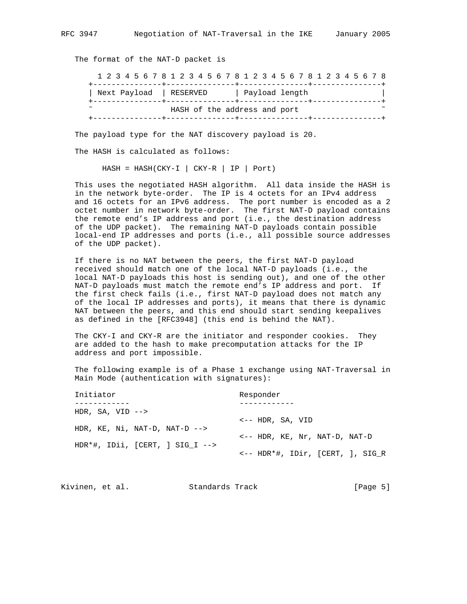The format of the NAT-D packet is

 1 2 3 4 5 6 7 8 1 2 3 4 5 6 7 8 1 2 3 4 5 6 7 8 1 2 3 4 5 6 7 8 +---------------+---------------+---------------+---------------+ | Next Payload | RESERVED | Payload length | +---------------+---------------+---------------+---------------+ HASH of the address and port +---------------+---------------+---------------+---------------+

The payload type for the NAT discovery payload is 20.

The HASH is calculated as follows:

 $HASH = HASH(CKY-I | CY-R | IP | Port)$ 

 This uses the negotiated HASH algorithm. All data inside the HASH is in the network byte-order. The IP is 4 octets for an IPv4 address and 16 octets for an IPv6 address. The port number is encoded as a 2 octet number in network byte-order. The first NAT-D payload contains the remote end's IP address and port (i.e., the destination address of the UDP packet). The remaining NAT-D payloads contain possible local-end IP addresses and ports (i.e., all possible source addresses of the UDP packet).

 If there is no NAT between the peers, the first NAT-D payload received should match one of the local NAT-D payloads (i.e., the local NAT-D payloads this host is sending out), and one of the other NAT-D payloads must match the remote end's IP address and port. If the first check fails (i.e., first NAT-D payload does not match any of the local IP addresses and ports), it means that there is dynamic NAT between the peers, and this end should start sending keepalives as defined in the [RFC3948] (this end is behind the NAT).

 The CKY-I and CKY-R are the initiator and responder cookies. They are added to the hash to make precomputation attacks for the IP address and port impossible.

 The following example is of a Phase 1 exchange using NAT-Traversal in Main Mode (authentication with signatures):

| Initiator                                | Responder                                   |
|------------------------------------------|---------------------------------------------|
|                                          |                                             |
| HDR, SA, VID $\rightarrow$               |                                             |
| HDR, $KE$ , $Ni$ , $NAT-D$ , $NAT-D$ --> | $\leftarrow$ - $\leftarrow$ HDR, SA, VID    |
|                                          | $\leftarrow$ - HDR, KE, Nr, NAT-D, NAT-D    |
| $HDR*#$ , IDii, $[CRT, 1 SIG I -->$      |                                             |
|                                          | $\leftarrow$ - HDR*#, IDir, [CERT, ], SIG R |

| [Page 5]<br>Kivinen, et al.<br>Standards Track |  |  |
|------------------------------------------------|--|--|
|------------------------------------------------|--|--|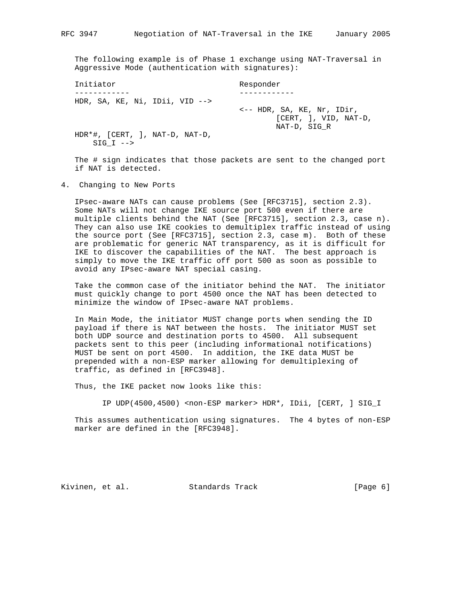The following example is of Phase 1 exchange using NAT-Traversal in Aggressive Mode (authentication with signatures):

| Initiator                                                        | Responder                                                                         |
|------------------------------------------------------------------|-----------------------------------------------------------------------------------|
|                                                                  |                                                                                   |
| HDR, SA, KE, Ni, IDii, VID $-->$                                 |                                                                                   |
|                                                                  | $\leftarrow$ - HDR, SA, KE, Nr, IDir,<br>$[CHRT, ]$ , VID, NAT-D,<br>NAT-D, SIG R |
| HDR $*$ #, $[CERT, ]$ , NAT-D, NAT-D,<br>$SIG I \dashrightarrow$ |                                                                                   |

 The # sign indicates that those packets are sent to the changed port if NAT is detected.

4. Changing to New Ports

 IPsec-aware NATs can cause problems (See [RFC3715], section 2.3). Some NATs will not change IKE source port 500 even if there are multiple clients behind the NAT (See [RFC3715], section 2.3, case n). They can also use IKE cookies to demultiplex traffic instead of using the source port (See [RFC3715], section 2.3, case m). Both of these are problematic for generic NAT transparency, as it is difficult for IKE to discover the capabilities of the NAT. The best approach is simply to move the IKE traffic off port 500 as soon as possible to avoid any IPsec-aware NAT special casing.

 Take the common case of the initiator behind the NAT. The initiator must quickly change to port 4500 once the NAT has been detected to minimize the window of IPsec-aware NAT problems.

 In Main Mode, the initiator MUST change ports when sending the ID payload if there is NAT between the hosts. The initiator MUST set both UDP source and destination ports to 4500. All subsequent packets sent to this peer (including informational notifications) MUST be sent on port 4500. In addition, the IKE data MUST be prepended with a non-ESP marker allowing for demultiplexing of traffic, as defined in [RFC3948].

Thus, the IKE packet now looks like this:

IP UDP(4500,4500) <non-ESP marker> HDR\*, IDii, [CERT, ] SIG\_I

 This assumes authentication using signatures. The 4 bytes of non-ESP marker are defined in the [RFC3948].

Kivinen, et al. Standards Track [Page 6]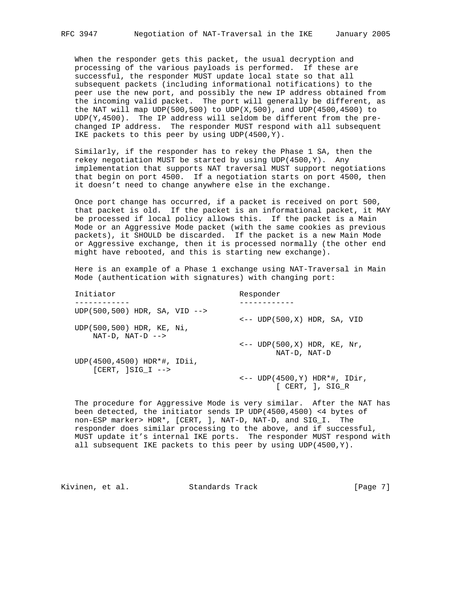When the responder gets this packet, the usual decryption and processing of the various payloads is performed. If these are successful, the responder MUST update local state so that all subsequent packets (including informational notifications) to the peer use the new port, and possibly the new IP address obtained from the incoming valid packet. The port will generally be different, as the NAT will map UDP(500,500) to UDP(X,500), and UDP(4500,4500) to  $UDP(Y, 4500)$ . The IP address will seldom be different from the pre changed IP address. The responder MUST respond with all subsequent IKE packets to this peer by using UDP(4500,Y).

 Similarly, if the responder has to rekey the Phase 1 SA, then the rekey negotiation MUST be started by using UDP(4500,Y). Any implementation that supports NAT traversal MUST support negotiations that begin on port 4500. If a negotiation starts on port 4500, then it doesn't need to change anywhere else in the exchange.

 Once port change has occurred, if a packet is received on port 500, that packet is old. If the packet is an informational packet, it MAY be processed if local policy allows this. If the packet is a Main Mode or an Aggressive Mode packet (with the same cookies as previous packets), it SHOULD be discarded. If the packet is a new Main Mode or Aggressive exchange, then it is processed normally (the other end might have rebooted, and this is starting new exchange).

 Here is an example of a Phase 1 exchange using NAT-Traversal in Main Mode (authentication with signatures) with changing port:

| Initiator                                          | Responder                                                   |
|----------------------------------------------------|-------------------------------------------------------------|
|                                                    |                                                             |
| UDP(500,500) HDR, SA, VID $\rightarrow$            |                                                             |
| UDP(500,500) HDR, KE, Ni,<br>$NAT-D$ , $NAT-D$ --> | $\leftarrow$ - UDP(500,X) HDR, SA, VID                      |
|                                                    | $\leftarrow$ - UDP(500,X) HDR, KE, Nr,<br>NAT-D, NAT-D      |
| UDP(4500,4500) HDR*#, IDii,<br>$[CHRT, 1SIG I --$  |                                                             |
|                                                    | $\leftarrow$ -- UDP(4500,Y) HDR*#, IDir,<br>[CHRT, ], SIG R |

 The procedure for Aggressive Mode is very similar. After the NAT has been detected, the initiator sends IP UDP(4500,4500) <4 bytes of non-ESP marker> HDR\*, [CERT, ], NAT-D, NAT-D, and SIG\_I. The responder does similar processing to the above, and if successful, MUST update it's internal IKE ports. The responder MUST respond with all subsequent IKE packets to this peer by using UDP(4500,Y).

Kivinen, et al. Standards Track [Page 7]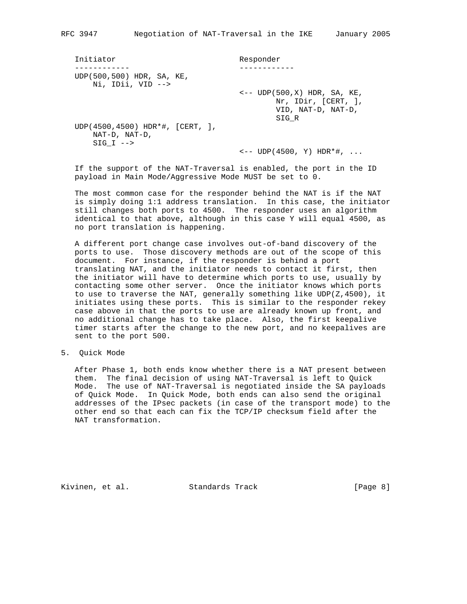| Initiator                                                                | Responder                                                                                              |
|--------------------------------------------------------------------------|--------------------------------------------------------------------------------------------------------|
| UDP(500,500) HDR, SA, KE,<br>$Ni$ , IDii, VID $--$                       |                                                                                                        |
|                                                                          | $\leftarrow$ - UDP $(500, X)$ HDR, SA, KE,<br>$Nr$ , IDir, $[CERT, ]$ ,<br>VID, NAT-D, NAT-D,<br>SIG R |
| UDP(4500,4500) HDR * #, [CERT, ],<br>NAT-D, NAT-D,<br>$SIG I \leftarrow$ |                                                                                                        |
|                                                                          | $\leftarrow$ - UDP(4500, Y) HDR*#,                                                                     |

 If the support of the NAT-Traversal is enabled, the port in the ID payload in Main Mode/Aggressive Mode MUST be set to 0.

 The most common case for the responder behind the NAT is if the NAT is simply doing 1:1 address translation. In this case, the initiator still changes both ports to 4500. The responder uses an algorithm identical to that above, although in this case Y will equal 4500, as no port translation is happening.

 A different port change case involves out-of-band discovery of the ports to use. Those discovery methods are out of the scope of this document. For instance, if the responder is behind a port translating NAT, and the initiator needs to contact it first, then the initiator will have to determine which ports to use, usually by contacting some other server. Once the initiator knows which ports to use to traverse the NAT, generally something like UDP(Z,4500), it initiates using these ports. This is similar to the responder rekey case above in that the ports to use are already known up front, and no additional change has to take place. Also, the first keepalive timer starts after the change to the new port, and no keepalives are sent to the port 500.

5. Quick Mode

 After Phase 1, both ends know whether there is a NAT present between them. The final decision of using NAT-Traversal is left to Quick Mode. The use of NAT-Traversal is negotiated inside the SA payloads of Quick Mode. In Quick Mode, both ends can also send the original addresses of the IPsec packets (in case of the transport mode) to the other end so that each can fix the TCP/IP checksum field after the NAT transformation.

Kivinen, et al. Standards Track [Page 8]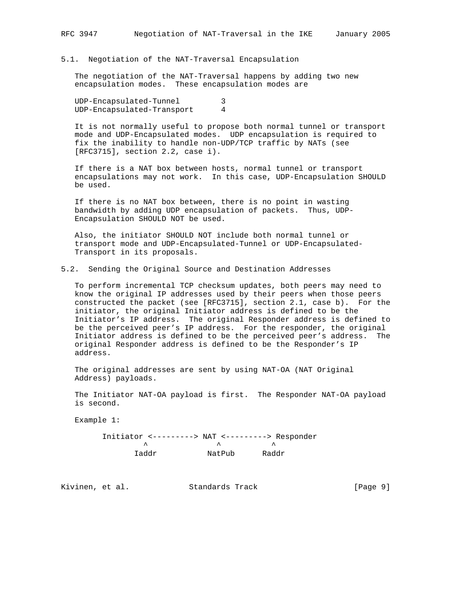5.1. Negotiation of the NAT-Traversal Encapsulation

 The negotiation of the NAT-Traversal happens by adding two new encapsulation modes. These encapsulation modes are

 UDP-Encapsulated-Tunnel 3 UDP-Encapsulated-Transport 4

 It is not normally useful to propose both normal tunnel or transport mode and UDP-Encapsulated modes. UDP encapsulation is required to fix the inability to handle non-UDP/TCP traffic by NATs (see [RFC3715], section 2.2, case i).

 If there is a NAT box between hosts, normal tunnel or transport encapsulations may not work. In this case, UDP-Encapsulation SHOULD be used.

 If there is no NAT box between, there is no point in wasting bandwidth by adding UDP encapsulation of packets. Thus, UDP- Encapsulation SHOULD NOT be used.

 Also, the initiator SHOULD NOT include both normal tunnel or transport mode and UDP-Encapsulated-Tunnel or UDP-Encapsulated- Transport in its proposals.

# 5.2. Sending the Original Source and Destination Addresses

 To perform incremental TCP checksum updates, both peers may need to know the original IP addresses used by their peers when those peers constructed the packet (see [RFC3715], section 2.1, case b). For the initiator, the original Initiator address is defined to be the Initiator's IP address. The original Responder address is defined to be the perceived peer's IP address. For the responder, the original Initiator address is defined to be the perceived peer's address. The original Responder address is defined to be the Responder's IP address.

 The original addresses are sent by using NAT-OA (NAT Original Address) payloads.

 The Initiator NAT-OA payload is first. The Responder NAT-OA payload is second.

Example 1:

 Initiator <---------> NAT <---------> Responder  $\lambda$   $\lambda$ Iaddr NatPub Raddr

Kivinen, et al. Standards Track [Page 9]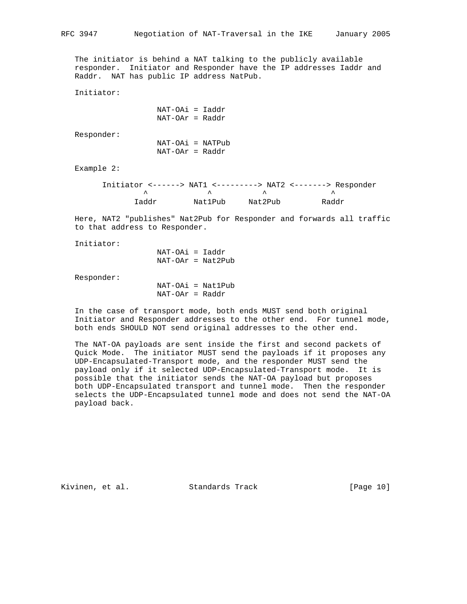The initiator is behind a NAT talking to the publicly available responder. Initiator and Responder have the IP addresses Iaddr and Raddr. NAT has public IP address NatPub.

Initiator:

 NAT-OAi = Iaddr NAT-OAr = Raddr

Responder:

| NAT-OAi = NATPub  |  |
|-------------------|--|
| $NAT-OAr = Raddr$ |  |

Example 2:

|       |         |         | Initiator <------> NAT1 <---------> NAT2 <-------> Responder |
|-------|---------|---------|--------------------------------------------------------------|
|       |         |         |                                                              |
| Taddr | NatlPub | Nat2Pub | Raddr                                                        |

 Here, NAT2 "publishes" Nat2Pub for Responder and forwards all traffic to that address to Responder.

Initiator:

 NAT-OAi = Iaddr NAT-OAr = Nat2Pub

Responder:

 NAT-OAi = Nat1Pub NAT-OAr = Raddr

 In the case of transport mode, both ends MUST send both original Initiator and Responder addresses to the other end. For tunnel mode, both ends SHOULD NOT send original addresses to the other end.

 The NAT-OA payloads are sent inside the first and second packets of Quick Mode. The initiator MUST send the payloads if it proposes any UDP-Encapsulated-Transport mode, and the responder MUST send the payload only if it selected UDP-Encapsulated-Transport mode. It is possible that the initiator sends the NAT-OA payload but proposes both UDP-Encapsulated transport and tunnel mode. Then the responder selects the UDP-Encapsulated tunnel mode and does not send the NAT-OA payload back.

Kivinen, et al. Standards Track [Page 10]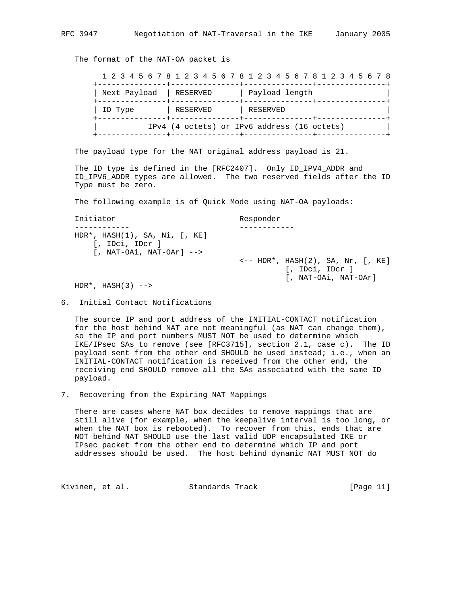The format of the NAT-OA packet is

 1 2 3 4 5 6 7 8 1 2 3 4 5 6 7 8 1 2 3 4 5 6 7 8 1 2 3 4 5 6 7 8 +---------------+---------------+---------------+---------------+ | Next Payload | RESERVED | Payload length +---------------+---------------+---------------+---------------+ | ID Type | RESERVED | RESERVED +---------------+---------------+---------------+---------------+ | IPv4 (4 octets) or IPv6 address (16 octets) | +---------------+---------------+---------------+---------------+

The payload type for the NAT original address payload is 21.

 The ID type is defined in the [RFC2407]. Only ID\_IPV4\_ADDR and ID\_IPV6\_ADDR types are allowed. The two reserved fields after the ID Type must be zero.

The following example is of Quick Mode using NAT-OA payloads:

 Initiator Responder ------------ ------------ HDR\*, HASH(1), SA, Ni, [, KE] [, IDci, IDcr ]  $[NAT-OA1, NAT-OAr]$  --> <-- HDR\*, HASH(2), SA, Nr, [, KE] [, IDci, IDcr ] [, NAT-OAi, NAT-OAr]

 $HDR*$ ,  $HASH(3)$  -->

6. Initial Contact Notifications

 The source IP and port address of the INITIAL-CONTACT notification for the host behind NAT are not meaningful (as NAT can change them), so the IP and port numbers MUST NOT be used to determine which IKE/IPsec SAs to remove (see [RFC3715], section 2.1, case c). The ID payload sent from the other end SHOULD be used instead; i.e., when an INITIAL-CONTACT notification is received from the other end, the receiving end SHOULD remove all the SAs associated with the same ID payload.

7. Recovering from the Expiring NAT Mappings

 There are cases where NAT box decides to remove mappings that are still alive (for example, when the keepalive interval is too long, or when the NAT box is rebooted). To recover from this, ends that are NOT behind NAT SHOULD use the last valid UDP encapsulated IKE or IPsec packet from the other end to determine which IP and port addresses should be used. The host behind dynamic NAT MUST NOT do

Kivinen, et al. Standards Track [Page 11]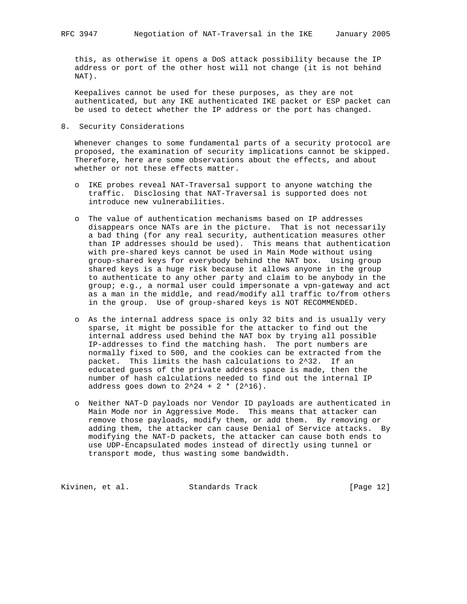this, as otherwise it opens a DoS attack possibility because the IP address or port of the other host will not change (it is not behind NAT).

 Keepalives cannot be used for these purposes, as they are not authenticated, but any IKE authenticated IKE packet or ESP packet can be used to detect whether the IP address or the port has changed.

8. Security Considerations

 Whenever changes to some fundamental parts of a security protocol are proposed, the examination of security implications cannot be skipped. Therefore, here are some observations about the effects, and about whether or not these effects matter.

- o IKE probes reveal NAT-Traversal support to anyone watching the traffic. Disclosing that NAT-Traversal is supported does not introduce new vulnerabilities.
- o The value of authentication mechanisms based on IP addresses disappears once NATs are in the picture. That is not necessarily a bad thing (for any real security, authentication measures other than IP addresses should be used). This means that authentication with pre-shared keys cannot be used in Main Mode without using group-shared keys for everybody behind the NAT box. Using group shared keys is a huge risk because it allows anyone in the group to authenticate to any other party and claim to be anybody in the group; e.g., a normal user could impersonate a vpn-gateway and act as a man in the middle, and read/modify all traffic to/from others in the group. Use of group-shared keys is NOT RECOMMENDED.
- o As the internal address space is only 32 bits and is usually very sparse, it might be possible for the attacker to find out the internal address used behind the NAT box by trying all possible IP-addresses to find the matching hash. The port numbers are normally fixed to 500, and the cookies can be extracted from the packet. This limits the hash calculations to 2^32. If an educated guess of the private address space is made, then the number of hash calculations needed to find out the internal IP address goes down to  $2^24 + 2 * (2^16)$ .
- o Neither NAT-D payloads nor Vendor ID payloads are authenticated in Main Mode nor in Aggressive Mode. This means that attacker can remove those payloads, modify them, or add them. By removing or adding them, the attacker can cause Denial of Service attacks. By modifying the NAT-D packets, the attacker can cause both ends to use UDP-Encapsulated modes instead of directly using tunnel or transport mode, thus wasting some bandwidth.

Kivinen, et al. Standards Track [Page 12]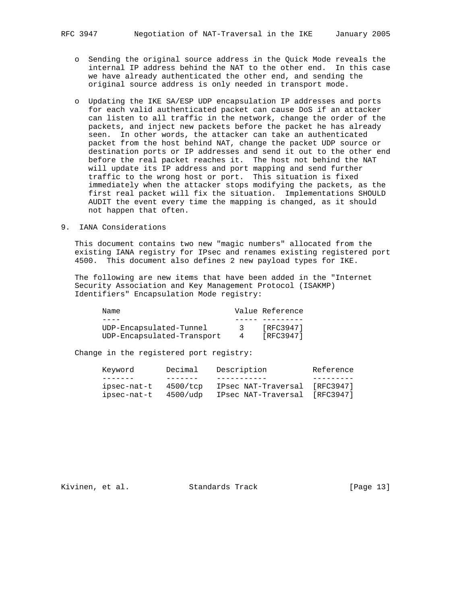- o Sending the original source address in the Quick Mode reveals the internal IP address behind the NAT to the other end. In this case we have already authenticated the other end, and sending the original source address is only needed in transport mode.
- o Updating the IKE SA/ESP UDP encapsulation IP addresses and ports for each valid authenticated packet can cause DoS if an attacker can listen to all traffic in the network, change the order of the packets, and inject new packets before the packet he has already seen. In other words, the attacker can take an authenticated packet from the host behind NAT, change the packet UDP source or destination ports or IP addresses and send it out to the other end before the real packet reaches it. The host not behind the NAT will update its IP address and port mapping and send further traffic to the wrong host or port. This situation is fixed immediately when the attacker stops modifying the packets, as the first real packet will fix the situation. Implementations SHOULD AUDIT the event every time the mapping is changed, as it should not happen that often.

# 9. IANA Considerations

 This document contains two new "magic numbers" allocated from the existing IANA registry for IPsec and renames existing registered port 4500. This document also defines 2 new payload types for IKE.

 The following are new items that have been added in the "Internet Security Association and Key Management Protocol (ISAKMP) Identifiers" Encapsulation Mode registry:

| Name                       | Value Reference |
|----------------------------|-----------------|
|                            |                 |
| UDP-Encapsulated-Tunnel    | [RFC3947]       |
| UDP-Encapsulated-Transport | [RFC3947]       |

Change in the registered port registry:

| Kevword     | Decimal  | Description                   | Reference |
|-------------|----------|-------------------------------|-----------|
|             |          |                               |           |
| ipsec-nat-t | 4500/tcp | IPsec NAT-Traversal [RFC3947] |           |
| ipsec-nat-t | 4500/udp | IPsec NAT-Traversal           | [RFC3947] |

Kivinen, et al. Standards Track [Page 13]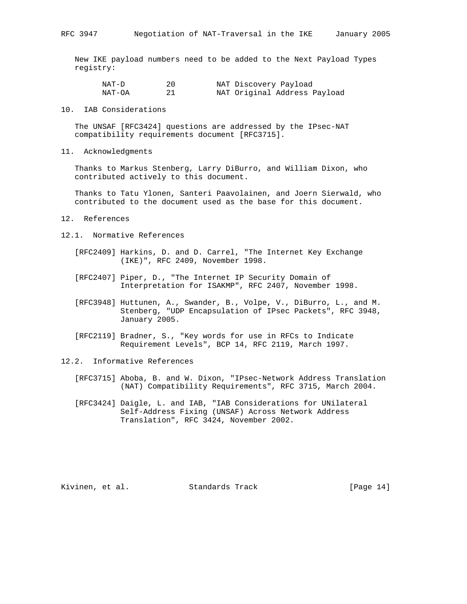New IKE payload numbers need to be added to the Next Payload Types registry:

| NAT-D  |  | NAT Discovery Payload        |  |
|--------|--|------------------------------|--|
| NAT-OA |  | NAT Original Address Payload |  |

10. IAB Considerations

 The UNSAF [RFC3424] questions are addressed by the IPsec-NAT compatibility requirements document [RFC3715].

11. Acknowledgments

 Thanks to Markus Stenberg, Larry DiBurro, and William Dixon, who contributed actively to this document.

 Thanks to Tatu Ylonen, Santeri Paavolainen, and Joern Sierwald, who contributed to the document used as the base for this document.

- 12. References
- 12.1. Normative References
	- [RFC2409] Harkins, D. and D. Carrel, "The Internet Key Exchange (IKE)", RFC 2409, November 1998.
	- [RFC2407] Piper, D., "The Internet IP Security Domain of Interpretation for ISAKMP", RFC 2407, November 1998.
	- [RFC3948] Huttunen, A., Swander, B., Volpe, V., DiBurro, L., and M. Stenberg, "UDP Encapsulation of IPsec Packets", RFC 3948, January 2005.
	- [RFC2119] Bradner, S., "Key words for use in RFCs to Indicate Requirement Levels", BCP 14, RFC 2119, March 1997.
- 12.2. Informative References
	- [RFC3715] Aboba, B. and W. Dixon, "IPsec-Network Address Translation (NAT) Compatibility Requirements", RFC 3715, March 2004.
	- [RFC3424] Daigle, L. and IAB, "IAB Considerations for UNilateral Self-Address Fixing (UNSAF) Across Network Address Translation", RFC 3424, November 2002.

Kivinen, et al. Standards Track [Page 14]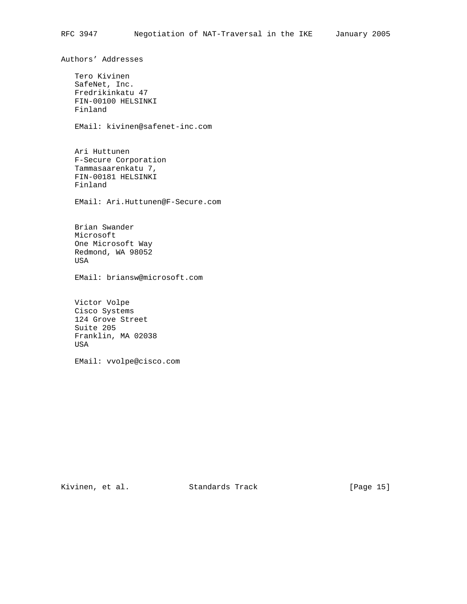Authors' Addresses Tero Kivinen SafeNet, Inc. Fredrikinkatu 47 FIN-00100 HELSINKI Finland EMail: kivinen@safenet-inc.com Ari Huttunen F-Secure Corporation Tammasaarenkatu 7, FIN-00181 HELSINKI Finland EMail: Ari.Huttunen@F-Secure.com Brian Swander Microsoft One Microsoft Way Redmond, WA 98052 USA EMail: briansw@microsoft.com Victor Volpe Cisco Systems 124 Grove Street Suite 205 Franklin, MA 02038 USA

EMail: vvolpe@cisco.com

Kivinen, et al. Standards Track [Page 15]